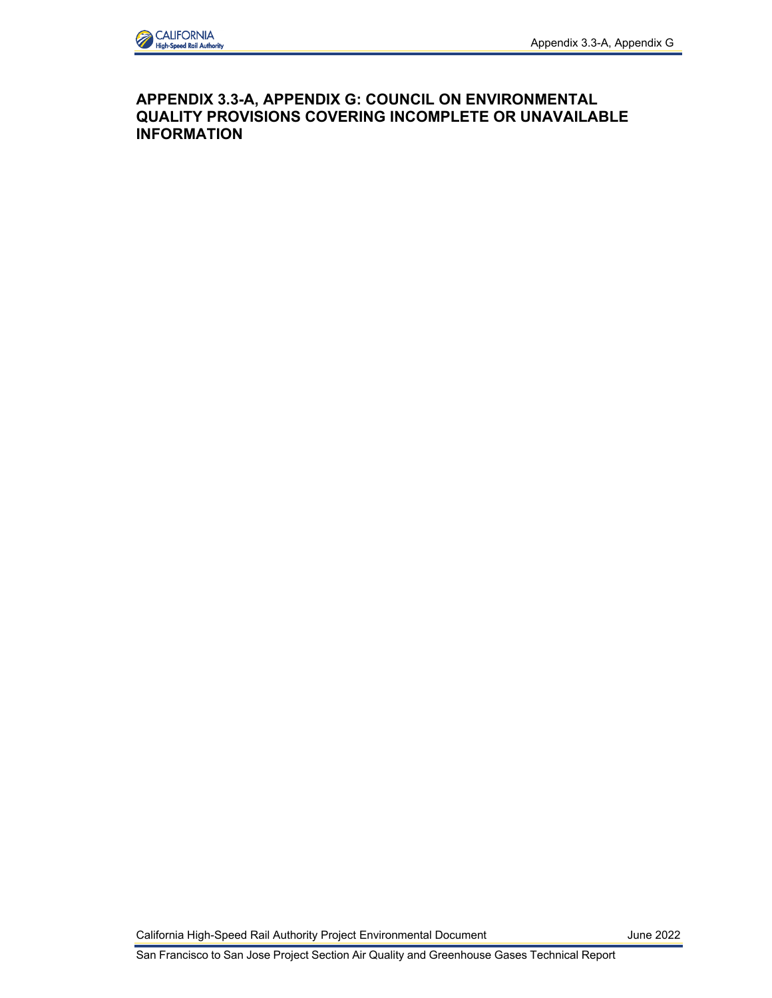

## **APPENDIX 3.3-A, APPENDIX G: COUNCIL ON ENVIRONMENTAL QUALITY PROVISIONS COVERING INCOMPLETE OR UNAVAILABLE INFORMATION**

California High-Speed Rail Authority Project Environmental Document June 2022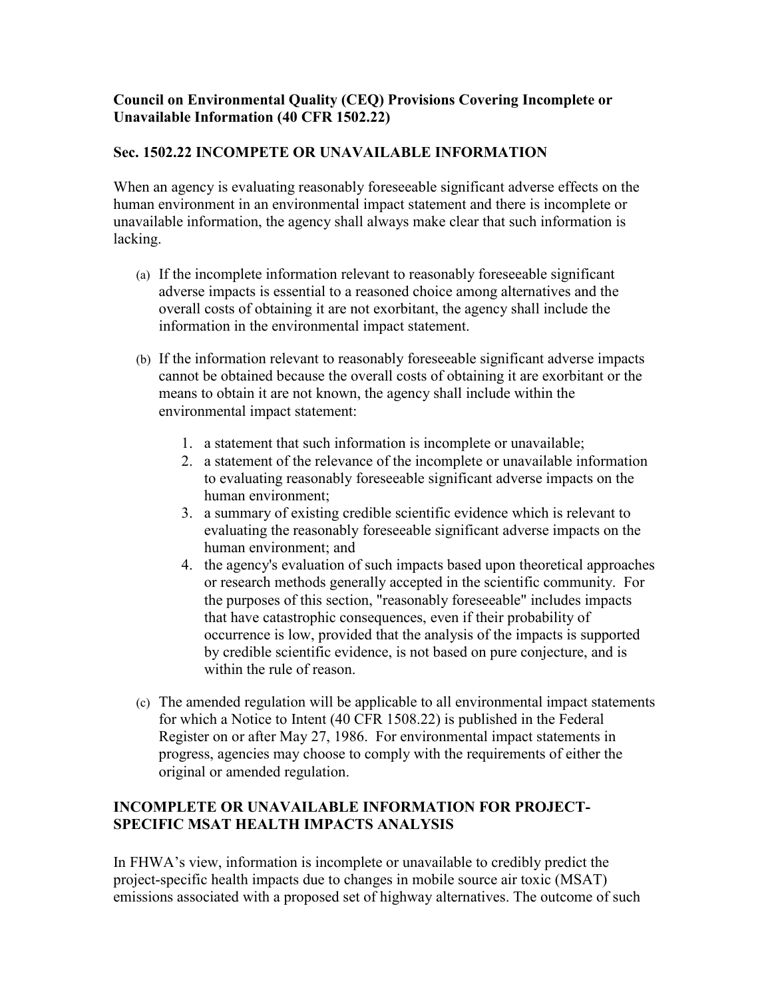## **Council on Environmental Quality (CEQ) Provisions Covering Incomplete or Unavailable Information (40 CFR 1502.22)**

## **Sec. 1502.22 INCOMPETE OR UNAVAILABLE INFORMATION**

When an agency is evaluating reasonably foreseeable significant adverse effects on the human environment in an environmental impact statement and there is incomplete or unavailable information, the agency shall always make clear that such information is lacking.

- (a) If the incomplete information relevant to reasonably foreseeable significant adverse impacts is essential to a reasoned choice among alternatives and the overall costs of obtaining it are not exorbitant, the agency shall include the information in the environmental impact statement.
- (b) If the information relevant to reasonably foreseeable significant adverse impacts cannot be obtained because the overall costs of obtaining it are exorbitant or the means to obtain it are not known, the agency shall include within the environmental impact statement:
	- 1. a statement that such information is incomplete or unavailable;
	- to evaluating reasonably foreseeable significant adverse impacts on the 2. a statement of the relevance of the incomplete or unavailable information human environment;
	- 3. a summary of existing credible scientific evidence which is relevant to evaluating the reasonably foreseeable significant adverse impacts on the human environment; and
	- 4. the agency's evaluation of such impacts based upon theoretical approaches or research methods generally accepted in the scientific community. For the purposes of this section, "reasonably foreseeable" includes impacts that have catastrophic consequences, even if their probability of occurrence is low, provided that the analysis of the impacts is supported by credible scientific evidence, is not based on pure conjecture, and is within the rule of reason.
- (c) The amended regulation will be applicable to all environmental impact statements progress, agencies may choose to comply with the requirements of either the for which a Notice to Intent (40 CFR 1508.22) is published in the Federal Register on or after May 27, 1986. For environmental impact statements in original or amended regulation.

## **INCOMPLETE OR UNAVAILABLE INFORMATION FOR PROJECT-SPECIFIC MSAT HEALTH IMPACTS ANALYSIS**

 In FHWA's view, information is incomplete or unavailable to credibly predict the project-specific health impacts due to changes in mobile source air toxic (MSAT) emissions associated with a proposed set of highway alternatives. The outcome of such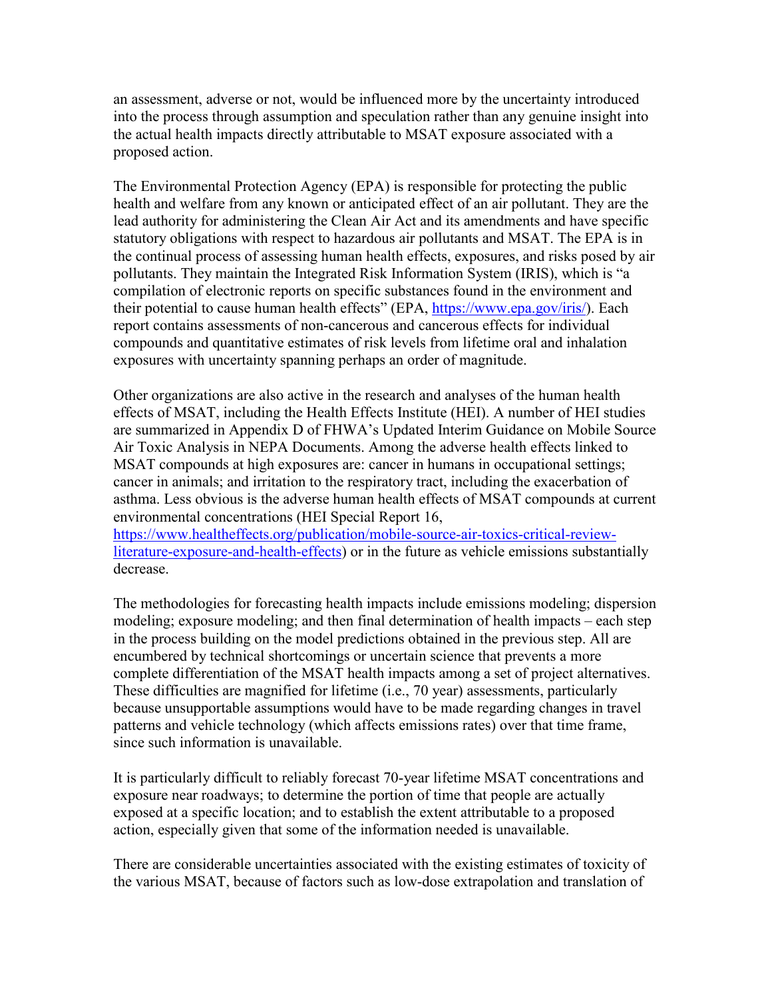into the process through assumption and speculation rather than any genuine insight into an assessment, adverse or not, would be influenced more by the uncertainty introduced the actual health impacts directly attributable to MSAT exposure associated with a proposed action.

 statutory obligations with respect to hazardous air pollutants and MSAT. The EPA is in The Environmental Protection Agency (EPA) is responsible for protecting the public health and welfare from any known or anticipated effect of an air pollutant. They are the lead authority for administering the Clean Air Act and its amendments and have specific the continual process of assessing human health effects, exposures, and risks posed by air pollutants. They maintain the Integrated Risk Information System (IRIS), which is "a compilation of electronic reports on specific substances found in the environment and their potential to cause human health effects" (EPA, [https://www.epa.gov/iris/\)](https://www.epa.gov/iris/). Each report contains assessments of non-cancerous and cancerous effects for individual compounds and quantitative estimates of risk levels from lifetime oral and inhalation exposures with uncertainty spanning perhaps an order of magnitude.

 effects of MSAT, including the Health Effects Institute (HEI). A number of HEI studies asthma. Less obvious is the adverse human health effects of MSAT compounds at current Other organizations are also active in the research and analyses of the human health are summarized in Appendix D of FHWA's Updated Interim Guidance on Mobile Source Air Toxic Analysis in NEPA Documents. Among the adverse health effects linked to MSAT compounds at high exposures are: cancer in humans in occupational settings; cancer in animals; and irritation to the respiratory tract, including the exacerbation of environmental concentrations (HEI Special Report 16,

[https://www.healtheffects.org/publication/mobile-source-air-toxics-critical-review](https://www.healtheffects.org/publication/mobile-source-air-toxics-critical-review-literature-exposure-and-health-effects)[literature-exposure-and-health-effects\)](https://www.healtheffects.org/publication/mobile-source-air-toxics-critical-review-literature-exposure-and-health-effects) or in the future as vehicle emissions substantially decrease.

The methodologies for forecasting health impacts include emissions modeling; dispersion modeling; exposure modeling; and then final determination of health impacts – each step in the process building on the model predictions obtained in the previous step. All are encumbered by technical shortcomings or uncertain science that prevents a more complete differentiation of the MSAT health impacts among a set of project alternatives. These difficulties are magnified for lifetime (i.e., 70 year) assessments, particularly because unsupportable assumptions would have to be made regarding changes in travel patterns and vehicle technology (which affects emissions rates) over that time frame, since such information is unavailable.

 It is particularly difficult to reliably forecast 70-year lifetime MSAT concentrations and exposure near roadways; to determine the portion of time that people are actually exposed at a specific location; and to establish the extent attributable to a proposed action, especially given that some of the information needed is unavailable.

There are considerable uncertainties associated with the existing estimates of toxicity of the various MSAT, because of factors such as low-dose extrapolation and translation of